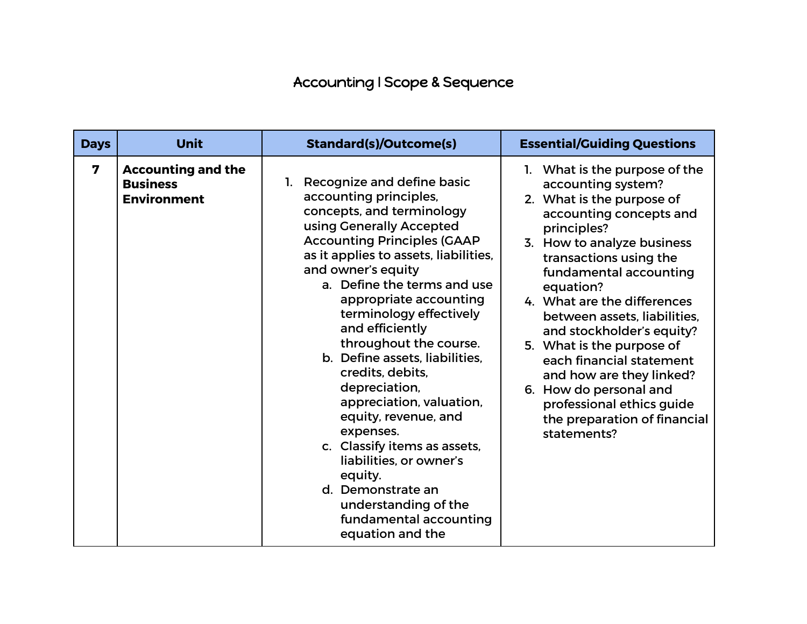## Accounting I Scope & Sequence

| <b>Days</b>             | <b>Unit</b>                                                        | <b>Standard(s)/Outcome(s)</b>                                                                                                                                                                                                                                                                                                                                                                                                                                                                                                                                                                                                                                      | <b>Essential/Guiding Questions</b>                                                                                                                                                                                                                                                                                                                                                                                                                                                                               |
|-------------------------|--------------------------------------------------------------------|--------------------------------------------------------------------------------------------------------------------------------------------------------------------------------------------------------------------------------------------------------------------------------------------------------------------------------------------------------------------------------------------------------------------------------------------------------------------------------------------------------------------------------------------------------------------------------------------------------------------------------------------------------------------|------------------------------------------------------------------------------------------------------------------------------------------------------------------------------------------------------------------------------------------------------------------------------------------------------------------------------------------------------------------------------------------------------------------------------------------------------------------------------------------------------------------|
| $\overline{\mathbf{z}}$ | <b>Accounting and the</b><br><b>Business</b><br><b>Environment</b> | Recognize and define basic<br>1.<br>accounting principles,<br>concepts, and terminology<br>using Generally Accepted<br><b>Accounting Principles (GAAP</b><br>as it applies to assets, liabilities,<br>and owner's equity<br>a. Define the terms and use<br>appropriate accounting<br>terminology effectively<br>and efficiently<br>throughout the course.<br>b. Define assets, liabilities,<br>credits, debits,<br>depreciation,<br>appreciation, valuation,<br>equity, revenue, and<br>expenses.<br>c. Classify items as assets,<br>liabilities, or owner's<br>equity.<br>d. Demonstrate an<br>understanding of the<br>fundamental accounting<br>equation and the | 1. What is the purpose of the<br>accounting system?<br>2. What is the purpose of<br>accounting concepts and<br>principles?<br>3. How to analyze business<br>transactions using the<br>fundamental accounting<br>equation?<br>4. What are the differences<br>between assets, liabilities,<br>and stockholder's equity?<br>5. What is the purpose of<br>each financial statement<br>and how are they linked?<br>6. How do personal and<br>professional ethics guide<br>the preparation of financial<br>statements? |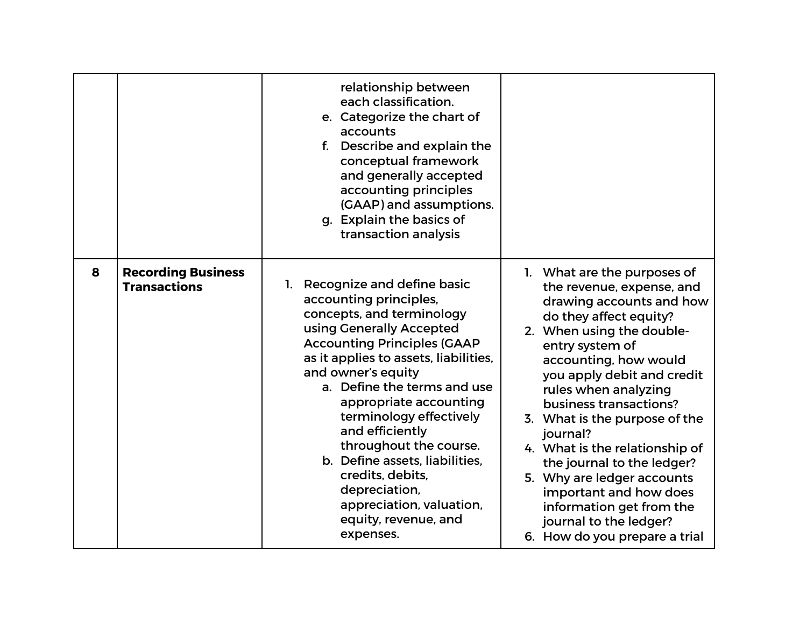|   |                                                  | relationship between<br>each classification.<br>e. Categorize the chart of<br>accounts<br>f. Describe and explain the<br>conceptual framework<br>and generally accepted<br>accounting principles<br>(GAAP) and assumptions.<br>g. Explain the basics of<br>transaction analysis                                                                                                                                                                                                                |                                                                                                                                                                                                                                                                                                                                                                                                                                                                                                                                     |
|---|--------------------------------------------------|------------------------------------------------------------------------------------------------------------------------------------------------------------------------------------------------------------------------------------------------------------------------------------------------------------------------------------------------------------------------------------------------------------------------------------------------------------------------------------------------|-------------------------------------------------------------------------------------------------------------------------------------------------------------------------------------------------------------------------------------------------------------------------------------------------------------------------------------------------------------------------------------------------------------------------------------------------------------------------------------------------------------------------------------|
| 8 | <b>Recording Business</b><br><b>Transactions</b> | 1. Recognize and define basic<br>accounting principles,<br>concepts, and terminology<br>using Generally Accepted<br><b>Accounting Principles (GAAP</b><br>as it applies to assets, liabilities,<br>and owner's equity<br>a. Define the terms and use<br>appropriate accounting<br>terminology effectively<br>and efficiently<br>throughout the course.<br>b. Define assets, liabilities,<br>credits, debits,<br>depreciation,<br>appreciation, valuation,<br>equity, revenue, and<br>expenses. | 1. What are the purposes of<br>the revenue, expense, and<br>drawing accounts and how<br>do they affect equity?<br>2. When using the double-<br>entry system of<br>accounting, how would<br>you apply debit and credit<br>rules when analyzing<br>business transactions?<br>3. What is the purpose of the<br>journal?<br>4. What is the relationship of<br>the journal to the ledger?<br>5. Why are ledger accounts<br>important and how does<br>information get from the<br>journal to the ledger?<br>6. How do you prepare a trial |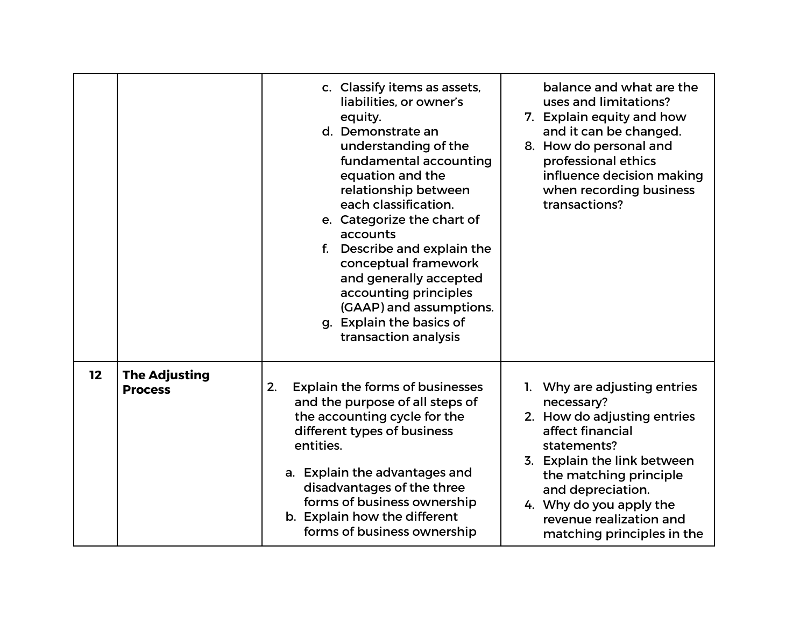|    |                                        | c. Classify items as assets,<br>liabilities, or owner's<br>equity.<br>d. Demonstrate an<br>understanding of the<br>fundamental accounting<br>equation and the<br>relationship between<br>each classification.<br>e. Categorize the chart of<br>accounts<br>f. Describe and explain the<br>conceptual framework<br>and generally accepted<br>accounting principles<br>(GAAP) and assumptions.<br>g. Explain the basics of<br>transaction analysis | balance and what are the<br>uses and limitations?<br>7. Explain equity and how<br>and it can be changed.<br>8. How do personal and<br>professional ethics<br>influence decision making<br>when recording business<br>transactions?                                             |
|----|----------------------------------------|--------------------------------------------------------------------------------------------------------------------------------------------------------------------------------------------------------------------------------------------------------------------------------------------------------------------------------------------------------------------------------------------------------------------------------------------------|--------------------------------------------------------------------------------------------------------------------------------------------------------------------------------------------------------------------------------------------------------------------------------|
| 12 | <b>The Adjusting</b><br><b>Process</b> | <b>Explain the forms of businesses</b><br>2.<br>and the purpose of all steps of<br>the accounting cycle for the<br>different types of business<br>entities.<br>a. Explain the advantages and<br>disadvantages of the three<br>forms of business ownership<br>b. Explain how the different<br>forms of business ownership                                                                                                                         | 1. Why are adjusting entries<br>necessary?<br>2. How do adjusting entries<br>affect financial<br>statements?<br>3. Explain the link between<br>the matching principle<br>and depreciation.<br>4. Why do you apply the<br>revenue realization and<br>matching principles in the |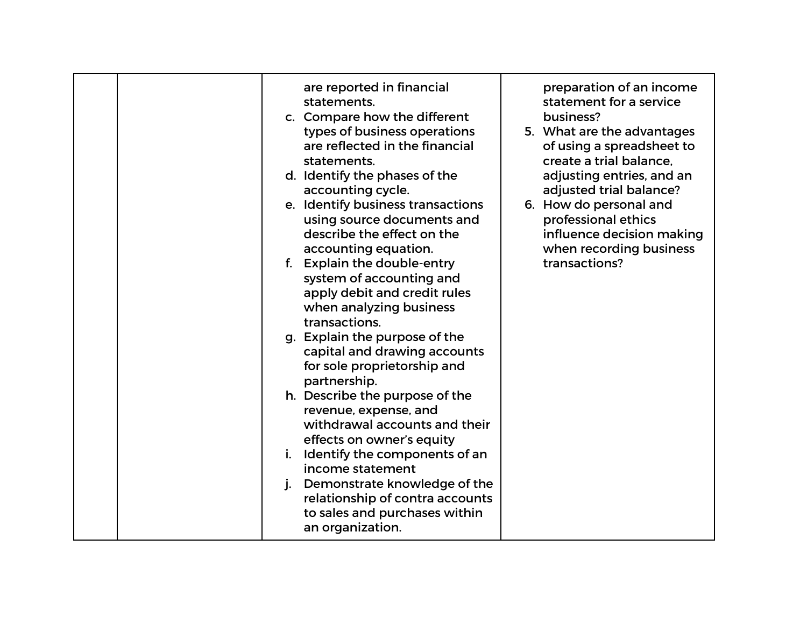| are reported in financial<br>preparation of an income<br>statements.<br>statement for a service<br>c. Compare how the different<br>business?<br>types of business operations<br>5. What are the advantages<br>are reflected in the financial<br>of using a spreadsheet to<br>create a trial balance,<br>statements.<br>d. Identify the phases of the<br>adjusting entries, and an<br>accounting cycle.<br>adjusted trial balance?<br>e. Identify business transactions<br>6. How do personal and<br>using source documents and<br>professional ethics<br>describe the effect on the<br>influence decision making<br>accounting equation.<br>when recording business<br>transactions?<br>f. Explain the double-entry<br>system of accounting and<br>apply debit and credit rules<br>when analyzing business<br>transactions.<br>g. Explain the purpose of the<br>capital and drawing accounts<br>for sole proprietorship and<br>partnership.<br>h. Describe the purpose of the<br>revenue, expense, and<br>withdrawal accounts and their<br>effects on owner's equity<br>Identify the components of an<br>income statement<br>j. Demonstrate knowledge of the<br>relationship of contra accounts<br>to sales and purchases within<br>an organization. |  |  |
|------------------------------------------------------------------------------------------------------------------------------------------------------------------------------------------------------------------------------------------------------------------------------------------------------------------------------------------------------------------------------------------------------------------------------------------------------------------------------------------------------------------------------------------------------------------------------------------------------------------------------------------------------------------------------------------------------------------------------------------------------------------------------------------------------------------------------------------------------------------------------------------------------------------------------------------------------------------------------------------------------------------------------------------------------------------------------------------------------------------------------------------------------------------------------------------------------------------------------------------------------|--|--|
|                                                                                                                                                                                                                                                                                                                                                                                                                                                                                                                                                                                                                                                                                                                                                                                                                                                                                                                                                                                                                                                                                                                                                                                                                                                      |  |  |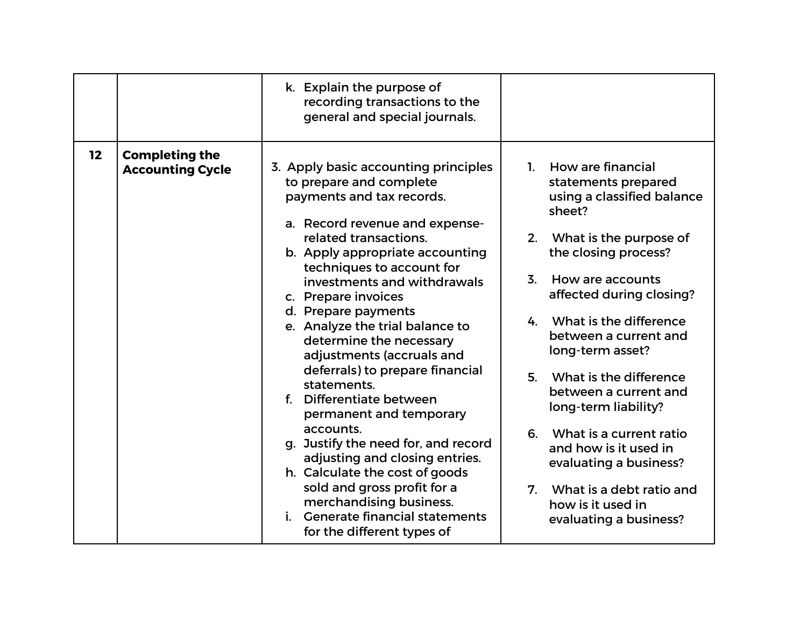|    |                                                  | k. Explain the purpose of<br>recording transactions to the<br>general and special journals.                                                                                                                                                                                                                                                                                                                                                                                                                                                                                                                                                                                                                                                                      |                                                                                                                                                                                                                                                                                                                                                                                                                                                                                                                                                           |
|----|--------------------------------------------------|------------------------------------------------------------------------------------------------------------------------------------------------------------------------------------------------------------------------------------------------------------------------------------------------------------------------------------------------------------------------------------------------------------------------------------------------------------------------------------------------------------------------------------------------------------------------------------------------------------------------------------------------------------------------------------------------------------------------------------------------------------------|-----------------------------------------------------------------------------------------------------------------------------------------------------------------------------------------------------------------------------------------------------------------------------------------------------------------------------------------------------------------------------------------------------------------------------------------------------------------------------------------------------------------------------------------------------------|
| 12 | <b>Completing the</b><br><b>Accounting Cycle</b> | 3. Apply basic accounting principles<br>to prepare and complete<br>payments and tax records.<br>a. Record revenue and expense-<br>related transactions.<br>b. Apply appropriate accounting<br>techniques to account for<br>investments and withdrawals<br>c. Prepare invoices<br>d. Prepare payments<br>e. Analyze the trial balance to<br>determine the necessary<br>adjustments (accruals and<br>deferrals) to prepare financial<br>statements.<br>f. Differentiate between<br>permanent and temporary<br>accounts.<br>g. Justify the need for, and record<br>adjusting and closing entries.<br>h. Calculate the cost of goods<br>sold and gross profit for a<br>merchandising business.<br><b>Generate financial statements</b><br>for the different types of | 1. How are financial<br>statements prepared<br>using a classified balance<br>sheet?<br>2. What is the purpose of<br>the closing process?<br>3.<br>How are accounts<br>affected during closing?<br>What is the difference<br>4.<br>between a current and<br>long-term asset?<br>What is the difference<br>5 <sub>1</sub><br>between a current and<br>long-term liability?<br>What is a current ratio<br>6.<br>and how is it used in<br>evaluating a business?<br>What is a debt ratio and<br>7 <sub>1</sub><br>how is it used in<br>evaluating a business? |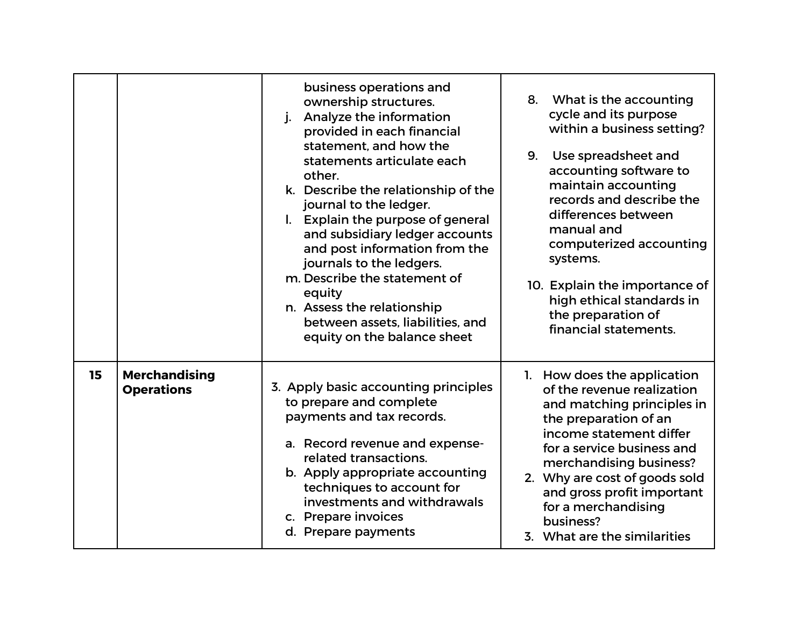|    |                                           | business operations and<br>ownership structures.<br>Analyze the information<br>provided in each financial<br>statement, and how the<br>statements articulate each<br>other.<br>k. Describe the relationship of the<br>journal to the ledger.<br>I. Explain the purpose of general<br>and subsidiary ledger accounts<br>and post information from the<br>journals to the ledgers.<br>m. Describe the statement of<br>equity<br>n. Assess the relationship<br>between assets, liabilities, and<br>equity on the balance sheet | What is the accounting<br>8.<br>cycle and its purpose<br>within a business setting?<br>9 <sub>1</sub><br>Use spreadsheet and<br>accounting software to<br>maintain accounting<br>records and describe the<br>differences between<br>manual and<br>computerized accounting<br>systems.<br>10. Explain the importance of<br>high ethical standards in<br>the preparation of<br>financial statements. |
|----|-------------------------------------------|-----------------------------------------------------------------------------------------------------------------------------------------------------------------------------------------------------------------------------------------------------------------------------------------------------------------------------------------------------------------------------------------------------------------------------------------------------------------------------------------------------------------------------|----------------------------------------------------------------------------------------------------------------------------------------------------------------------------------------------------------------------------------------------------------------------------------------------------------------------------------------------------------------------------------------------------|
| 15 | <b>Merchandising</b><br><b>Operations</b> | 3. Apply basic accounting principles<br>to prepare and complete<br>payments and tax records.<br>a. Record revenue and expense-<br>related transactions.<br>b. Apply appropriate accounting<br>techniques to account for<br>investments and withdrawals<br>c. Prepare invoices<br>d. Prepare payments                                                                                                                                                                                                                        | 1. How does the application<br>of the revenue realization<br>and matching principles in<br>the preparation of an<br>income statement differ<br>for a service business and<br>merchandising business?<br>2. Why are cost of goods sold<br>and gross profit important<br>for a merchandising<br>business?<br>3. What are the similarities                                                            |